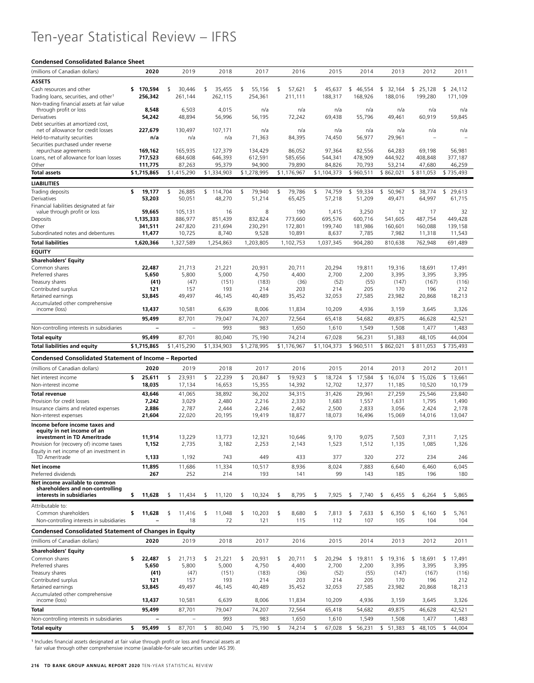## Ten-year Statistical Review – IFRS

## **Condensed Consolidated Balance Sheet**

| (millions of Canadian dollars)                                                                                 |             | 2020             |    | 2019              |    | 2018              |    | 2017             |    | 2016                  |    | 2015             |    | 2014             | 2013                   |    | 2012              |     | 2011               |
|----------------------------------------------------------------------------------------------------------------|-------------|------------------|----|-------------------|----|-------------------|----|------------------|----|-----------------------|----|------------------|----|------------------|------------------------|----|-------------------|-----|--------------------|
| <b>ASSETS</b>                                                                                                  |             |                  |    |                   |    |                   |    |                  |    |                       |    |                  |    |                  |                        |    |                   |     |                    |
| Cash resources and other                                                                                       | \$170,594   |                  | \$ | 30.446            | \$ | 35,455            | \$ | 55,156           | \$ | 57,621                | \$ | 45,637           | \$ | 46,554           | \$<br>32,164           | \$ | 25,128            |     | \$24.112           |
| Trading loans, securities, and other <sup>1</sup>                                                              | 256,342     |                  |    | 261,144           |    | 262,115           |    | 254,361          |    | 211,111               |    | 188,317          |    | 168,926          | 188.016                |    | 199,280           |     | 171,109            |
| Non-trading financial assets at fair value<br>through profit or loss                                           |             | 8,548            |    | 6,503             |    | 4,015             |    | n/a              |    | n/a                   |    | n/a              |    |                  | n/a                    |    | n/a               |     |                    |
| Derivatives                                                                                                    |             | 54,242           |    | 48,894            |    | 56,996            |    | 56,195           |    | 72,242                |    | 69,438           |    | n/a<br>55,796    | 49,461                 |    | 60,919            |     | n/a<br>59,845      |
| Debt securities at amortized cost,                                                                             |             |                  |    |                   |    |                   |    |                  |    |                       |    |                  |    |                  |                        |    |                   |     |                    |
| net of allowance for credit losses                                                                             | 227,679     |                  |    | 130,497           |    | 107,171           |    | n/a              |    | n/a                   |    | n/a              |    | n/a              | n/a                    |    | n/a               |     | n/a                |
| Held-to-maturity securities<br>Securities purchased under reverse                                              |             | n/a              |    | n/a               |    | n/a               |    | 71,363           |    | 84,395                |    | 74,450           |    | 56,977           | 29,961                 |    |                   |     |                    |
| repurchase agreements                                                                                          | 169,162     |                  |    | 165,935           |    | 127.379           |    | 134,429          |    | 86,052                |    | 97,364           |    | 82,556           | 64,283                 |    | 69,198            |     | 56,981             |
| Loans, net of allowance for loan losses                                                                        | 717,523     |                  |    | 684,608           |    | 646,393           |    | 612,591          |    | 585,656               |    | 544,341          |    | 478,909          | 444,922                |    | 408,848           |     | 377,187            |
| Other                                                                                                          | 111,775     |                  |    | 87,263            |    | 95,379            |    | 94,900           |    | 79,890<br>\$1,176,967 |    | 84,826           |    | 70,793           | 53,214                 |    | 47,680            |     | 46,259             |
| <b>Total assets</b>                                                                                            | \$1,715,865 |                  |    | \$1,415,290       |    | \$1,334,903       |    | \$1,278,995      |    |                       |    | \$1,104,373      |    | \$960,511        | \$862,021              |    | \$811,053         |     | \$735,493          |
| LIABILITIES                                                                                                    |             |                  |    |                   |    |                   |    |                  |    |                       |    |                  |    |                  |                        |    |                   |     |                    |
| Trading deposits<br>Derivatives                                                                                | \$          | 19,177<br>53,203 | \$ | 26.885<br>50,051  | \$ | 114,704<br>48,270 | \$ | 79,940<br>51,214 | \$ | 79,786<br>65,425      | \$ | 74,759<br>57,218 | \$ | 59,334<br>51,209 | \$<br>50.967<br>49,471 | \$ | 38,774<br>64,997  |     | \$29,613<br>61,715 |
| Financial liabilities designated at fair                                                                       |             |                  |    |                   |    |                   |    |                  |    |                       |    |                  |    |                  |                        |    |                   |     |                    |
| value through profit or loss                                                                                   |             | 59,665           |    | 105,131           |    | 16                |    | 8                |    | 190                   |    | 1,415            |    | 3,250            | 12                     |    | 17                |     | 32                 |
| Deposits                                                                                                       | 1,135,333   |                  |    | 886,977           |    | 851,439           |    | 832,824          |    | 773,660               |    | 695,576          |    | 600,716          | 541,605                |    | 487,754           |     | 449,428            |
| Other<br>Subordinated notes and debentures                                                                     | 341,511     | 11,477           |    | 247,820<br>10,725 |    | 231,694<br>8,740  |    | 230,291<br>9,528 |    | 172,801<br>10,891     |    | 199,740<br>8,637 |    | 181,986<br>7,785 | 160,601<br>7,982       |    | 160,088<br>11,318 |     | 139,158<br>11,543  |
| <b>Total liabilities</b>                                                                                       | 1,620,366   |                  |    | 1,327,589         |    | 1,254,863         |    | 1,203,805        |    | 1,102,753             |    | 1,037,345        |    | 904,280          | 810,638                |    | 762,948           |     | 691,489            |
| <b>EQUITY</b>                                                                                                  |             |                  |    |                   |    |                   |    |                  |    |                       |    |                  |    |                  |                        |    |                   |     |                    |
| <b>Shareholders' Equity</b>                                                                                    |             |                  |    |                   |    |                   |    |                  |    |                       |    |                  |    |                  |                        |    |                   |     |                    |
| Common shares                                                                                                  |             | 22,487           |    | 21,713            |    | 21,221            |    | 20,931           |    | 20,711                |    | 20,294           |    | 19,811           | 19,316                 |    | 18,691            |     | 17,491             |
| Preferred shares                                                                                               |             | 5,650            |    | 5,800             |    | 5,000             |    | 4,750            |    | 4,400                 |    | 2,700            |    | 2,200            | 3,395                  |    | 3,395             |     | 3,395              |
| Treasury shares                                                                                                |             | (41)             |    | (47)              |    | (151)             |    | (183)            |    | (36)                  |    | (52)             |    | (55)             | (147)                  |    | (167)             |     | (116)              |
| Contributed surplus<br>Retained earnings                                                                       |             | 121<br>53,845    |    | 157<br>49,497     |    | 193<br>46,145     |    | 214<br>40,489    |    | 203<br>35,452         |    | 214<br>32,053    |    | 205<br>27,585    | 170<br>23,982          |    | 196<br>20,868     |     | 212<br>18,213      |
| Accumulated other comprehensive                                                                                |             |                  |    |                   |    |                   |    |                  |    |                       |    |                  |    |                  |                        |    |                   |     |                    |
| income (loss)                                                                                                  |             | 13,437           |    | 10,581            |    | 6,639             |    | 8,006            |    | 11,834                |    | 10,209           |    | 4,936            | 3,159                  |    | 3,645             |     | 3,326              |
|                                                                                                                |             | 95,499           |    | 87,701            |    | 79,047            |    | 74,207           |    | 72,564                |    | 65,418           |    | 54,682           | 49,875                 |    | 46,628            |     | 42,521             |
| Non-controlling interests in subsidiaries                                                                      |             |                  |    |                   |    | 993               |    | 983              |    | 1,650                 |    | 1,610            |    | 1,549            | 1,508                  |    | 1,477             |     | 1,483              |
| Total equity                                                                                                   |             | 95,499           |    | 87,701            |    | 80,040            |    | 75,190           |    | 74,214                |    | 67,028           |    | 56,231           | 51,383                 |    | 48,105            |     | 44,004             |
| <b>Total liabilities and equity</b>                                                                            | \$1,715,865 |                  |    | \$1,415,290       |    | \$1,334,903       |    | \$1,278,995      |    | \$1,176,967           |    | \$1,104,373      |    | \$960,511        | \$862,021              |    | \$811,053         |     | \$735,493          |
| <b>Condensed Consolidated Statement of Income - Reported</b>                                                   |             |                  |    |                   |    |                   |    |                  |    |                       |    |                  |    |                  |                        |    |                   |     |                    |
| (millions of Canadian dollars)                                                                                 |             | 2020             |    | 2019              |    | 2018              |    | 2017             |    | 2016                  |    | 2015             |    | 2014             | 2013                   |    | 2012              |     | 2011               |
| Net interest income                                                                                            | \$          | 25,611           | \$ | 23,931            | \$ | 22,239            | \$ | 20,847           | \$ | 19,923                | \$ | 18,724           | \$ | 17,584           | \$16,074               |    | \$15,026          | \$  | 13,661             |
| Non-interest income                                                                                            |             | 18,035           |    | 17,134            |    | 16,653            |    | 15,355           |    | 14,392                |    | 12,702           |    | 12,377           | 11,185                 |    | 10,520            |     | 10,179             |
| Total revenue                                                                                                  |             | 43,646           |    | 41,065            |    | 38,892            |    | 36,202           |    | 34,315                |    | 31,426           |    | 29,961           | 27,259                 |    | 25,546            |     | 23,840             |
| Provision for credit losses                                                                                    |             | 7,242            |    | 3,029             |    | 2,480             |    | 2,216            |    | 2,330                 |    | 1,683            |    | 1,557            | 1,631                  |    | 1,795             |     | 1,490              |
| Insurance claims and related expenses<br>Non-interest expenses                                                 |             | 2,886<br>21,604  |    | 2,787<br>22,020   |    | 2,444<br>20,195   |    | 2,246<br>19,419  |    | 2,462<br>18,877       |    | 2,500<br>18,073  |    | 2,833<br>16,496  | 3,056<br>15,069        |    | 2,424<br>14,016   |     | 2,178<br>13,047    |
| Income before income taxes and                                                                                 |             |                  |    |                   |    |                   |    |                  |    |                       |    |                  |    |                  |                        |    |                   |     |                    |
| equity in net income of an                                                                                     |             |                  |    |                   |    |                   |    |                  |    |                       |    |                  |    |                  |                        |    |                   |     |                    |
| investment in TD Ameritrade                                                                                    |             | 11,914           |    | 13,229            |    | 13,773            |    | 12,321           |    | 10,646                |    | 9,170            |    | 9,075            | 7,503                  |    | 7,311             |     | 7,125              |
| Provision for (recovery of) income taxes<br>Equity in net income of an investment in                           |             | 1,152            |    | 2,735             |    | 3,182             |    | 2,253            |    | 2,143                 |    | 1,523            |    | 1,512            | 1,135                  |    | 1,085             |     | 1,326              |
| TD Ameritrade                                                                                                  |             | 1,133            |    | 1,192             |    | 743               |    | 449              |    | 433                   |    | 377              |    | 320              | 272                    |    | 234               |     | 246                |
| Net income                                                                                                     |             | 11,895           |    | 11,686            |    | 11,334            |    | 10,517           |    | 8,936                 |    | 8,024            |    | 7,883            | 6,640                  |    | 6,460             |     | 6,045              |
| Preferred dividends                                                                                            |             | 267              |    | 252               |    | 214               |    | 193              |    | 141                   |    | 99               |    | 143              | 185                    |    | 196               |     | 180                |
| Net income available to common<br>shareholders and non-controlling                                             |             |                  |    |                   |    |                   |    |                  |    |                       |    |                  |    |                  |                        |    |                   |     |                    |
| interests in subsidiaries                                                                                      | \$          | 11,628           | \$ | 11,434            | \$ | 11,120            | \$ | 10,324           | S  | 8,795                 | -S | 7,925            | \$ | 7,740            | \$<br>6,455            | -S | 6,264             | -\$ | 5,865              |
| Attributable to:                                                                                               |             |                  |    |                   |    |                   |    |                  |    |                       |    |                  |    |                  |                        |    |                   |     |                    |
| Common shareholders                                                                                            | \$.         | 11,628           | \$ | 11,416            | \$ | 11,048            | \$ | 10,203           | \$ | 8,680                 | \$ | 7,813            | \$ | 7,633            | \$<br>6,350            | S  | 6,160             | \$  | 5,761              |
| Non-controlling interests in subsidiaries                                                                      |             |                  |    | 18                |    | 72                |    | 121              |    | 115                   |    | 112              |    | 107              | 105                    |    | 104               |     | 104                |
| <b>Condensed Consolidated Statement of Changes in Equity</b>                                                   |             |                  |    |                   |    |                   |    |                  |    |                       |    |                  |    |                  |                        |    |                   |     |                    |
| (millions of Canadian dollars)<br>2020<br>2011<br>2019<br>2018<br>2017<br>2016<br>2015<br>2014<br>2013<br>2012 |             |                  |    |                   |    |                   |    |                  |    |                       |    |                  |    |                  |                        |    |                   |     |                    |
| <b>Shareholders' Equity</b>                                                                                    |             |                  |    |                   |    |                   |    |                  |    |                       |    |                  |    |                  |                        |    |                   |     |                    |
| Common shares                                                                                                  | \$          | 22,487           | \$ | 21,713            | \$ | 21,221            | \$ | 20,931           | \$ | 20,711                | \$ | 20,294           |    | \$19,811         | \$19,316               |    | \$18,691          |     | \$17,491           |
| Preferred shares                                                                                               |             | 5,650            |    | 5,800             |    | 5,000             |    | 4,750            |    | 4,400                 |    | 2,700            |    | 2,200            | 3,395                  |    | 3,395             |     | 3,395              |
| Treasury shares                                                                                                |             | (41)             |    | (47)              |    | (151)             |    | (183)            |    | (36)                  |    | (52)             |    | (55)             | (147)                  |    | (167)             |     | (116)              |
| Contributed surplus<br>Retained earnings                                                                       |             | 121<br>53,845    |    | 157<br>49,497     |    | 193<br>46,145     |    | 214<br>40,489    |    | 203<br>35,452         |    | 214<br>32,053    |    | 205<br>27,585    | 170<br>23,982          |    | 196<br>20,868     |     | 212<br>18,213      |
| Accumulated other comprehensive                                                                                |             |                  |    |                   |    |                   |    |                  |    |                       |    |                  |    |                  |                        |    |                   |     |                    |
| income (loss)                                                                                                  |             | 13,437           |    | 10,581            |    | 6,639             |    | 8,006            |    | 11,834                |    | 10,209           |    | 4,936            | 3,159                  |    | 3,645             |     | 3,326              |
| Total                                                                                                          |             | 95,499           |    | 87,701            |    | 79,047            |    | 74,207           |    | 72,564                |    | 65,418           |    | 54,682           | 49,875                 |    | 46,628            |     | 42,521             |
| Non-controlling interests in subsidiaries                                                                      |             |                  |    |                   |    | 993               |    | 983              |    | 1,650                 |    | 1,610            |    | 1,549            | 1,508                  |    | 1,477             |     | 1,483              |
| <b>Total equity</b>                                                                                            | \$          | 95,499           | \$ | 87,701            | \$ | 80,040            | \$ | 75,190           | \$ | 74,214                | \$ | 67,028           |    | \$56,231         | \$51,383               |    | \$48,105          |     | \$44,004           |

<sup>1</sup> Includes financial assets designated at fair value through profit or loss and financial assets at fair value through other comprehensive income (available-for-sale securities under IAS 39).